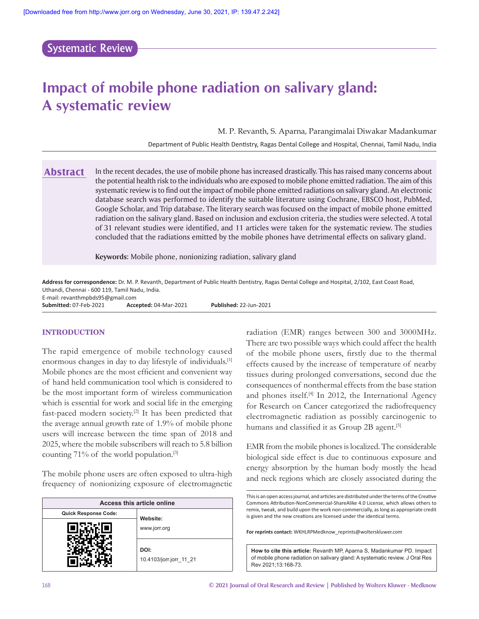# Systematic Review

# **Impact of mobile phone radiation on salivary gland: A systematic review**

M. P. Revanth, S. Aparna, Parangimalai Diwakar Madankumar

Department of Public Health Dentistry, Ragas Dental College and Hospital, Chennai, Tamil Nadu, India

In the recent decades, the use of mobile phone has increased drastically. This has raised many concerns about the potential health risk to the individuals who are exposed to mobile phone emitted radiation. The aim of this systematic review is to find out the impact of mobile phone emitted radiations on salivary gland. An electronic database search was performed to identify the suitable literature using Cochrane, EBSCO host, PubMed, Google Scholar, and Trip database. The literary search was focused on the impact of mobile phone emitted radiation on the salivary gland. Based on inclusion and exclusion criteria, the studies were selected. A total of 31 relevant studies were identified, and 11 articles were taken for the systematic review. The studies concluded that the radiations emitted by the mobile phones have detrimental effects on salivary gland. **Abstract**

**Keywords:** Mobile phone, nonionizing radiation, salivary gland

**Address for correspondence:** Dr. M. P. Revanth, Department of Public Health Dentistry, Ragas Dental College and Hospital, 2/102, East Coast Road, Uthandi, Chennai ‑ 600 119, Tamil Nadu, India.

E‑mail: revanthmpbds95@gmail.com

**Submitted:** 07‑Feb‑2021 **Accepted:** 04‑Mar‑2021 **Published:** 22‑Jun‑2021

#### **INTRODUCTION**

The rapid emergence of mobile technology caused enormous changes in day to day lifestyle of individuals.[1] Mobile phones are the most efficient and convenient way of hand held communication tool which is considered to be the most important form of wireless communication which is essential for work and social life in the emerging fast-paced modern society.<sup>[2]</sup> It has been predicted that the average annual growth rate of 1.9% of mobile phone users will increase between the time span of 2018 and 2025, where the mobile subscribers will reach to 5.8 billion counting  $71\%$  of the world population.<sup>[3]</sup>

The mobile phone users are often exposed to ultra-high frequency of nonionizing exposure of electromagnetic

|                      | Access this article online      |
|----------------------|---------------------------------|
| Quick Response Code: | Website:                        |
|                      | www.jorr.org                    |
|                      | DOI:<br>10.4103/jorr.jorr 11 21 |

radiation (EMR) ranges between 300 and 3000MHz. There are two possible ways which could affect the health of the mobile phone users, firstly due to the thermal effects caused by the increase of temperature of nearby tissues during prolonged conversations, second due the consequences of nonthermal effects from the base station and phones itself.[4] In 2012, the International Agency for Research on Cancer categorized the radiofrequency electromagnetic radiation as possibly carcinogenic to humans and classified it as Group 2B agent.<sup>[5]</sup>

EMR from the mobile phones is localized. The considerable biological side effect is due to continuous exposure and energy absorption by the human body mostly the head and neck regions which are closely associated during the

**For reprints contact:** WKHLRPMedknow\_reprints@wolterskluwer.com

**How to cite this article:** Revanth MP, Aparna S, Madankumar PD. Impact of mobile phone radiation on salivary gland: A systematic review. J Oral Res Rev 2021;13:168-73.

This is an open access journal, and articles are distributed under the terms of the Creative Commons Attribution‑NonCommercial‑ShareAlike 4.0 License, which allows others to remix, tweak, and build upon the work non‑commercially, as long as appropriate credit is given and the new creations are licensed under the identical terms.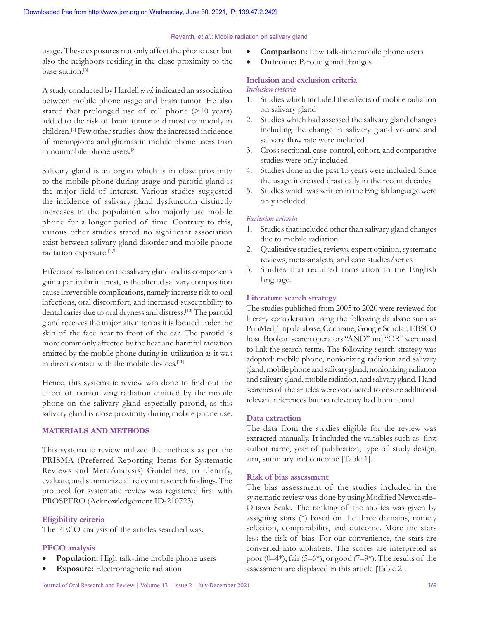usage. These exposures not only affect the phone user but also the neighbors residing in the close proximity to the base station.<sup>[6]</sup>

A study conducted by Hardell *et al*. indicated an association between mobile phone usage and brain tumor. He also stated that prolonged use of cell phone (>10 years) added to the risk of brain tumor and most commonly in children.[7] Few other studies show the increased incidence of meningioma and gliomas in mobile phone users than in nonmobile phone users.[8]

Salivary gland is an organ which is in close proximity to the mobile phone during usage and parotid gland is the major field of interest. Various studies suggested the incidence of salivary gland dysfunction distinctly increases in the population who majorly use mobile phone for a longer period of time. Contrary to this, various other studies stated no significant association exist between salivary gland disorder and mobile phone radiation exposure.[2,9]

Effects of radiation on the salivary gland and its components gain a particular interest, as the altered salivary composition cause irreversible complications, namely increase risk to oral infections, oral discomfort, and increased susceptibility to dental caries due to oral dryness and distress.[10] The parotid gland receives the major attention as it is located under the skin of the face near to front of the ear. The parotid is more commonly affected by the heat and harmful radiation emitted by the mobile phone during its utilization as it was in direct contact with the mobile devices.<sup>[11]</sup>

Hence, this systematic review was done to find out the effect of nonionizing radiation emitted by the mobile phone on the salivary gland especially parotid, as this salivary gland is close proximity during mobile phone use.

#### **MATERIALS AND METHODS**

This systematic review utilized the methods as per the PRISMA (Preferred Reporting Items for Systematic Reviews and MetaAnalysis) Guidelines, to identify, evaluate, and summarize all relevant research findings. The protocol for systematic review was registered first with PROSPERO (Acknowledgement ID‑210723).

#### **Eligibility criteria**

The PECO analysis of the articles searched was:

## **PECO analysis**

- Population: High talk-time mobile phone users
- **Exposure:** Electromagnetic radiation
- **Comparison:** Low talk-time mobile phone users
- • **Outcome:** Parotid gland changes.

# **Inclusion and exclusion criteria**

#### *Inclusion criteria*

- 1. Studies which included the effects of mobile radiation on salivary gland
- 2. Studies which had assessed the salivary gland changes including the change in salivary gland volume and salivary flow rate were included
- 3. Cross sectional, case‑control, cohort, and comparative studies were only included
- 4. Studies done in the past 15 years were included. Since the usage increased drastically in the recent decades
- 5. Studies which was written in the English language were only included.

#### *Exclusion criteria*

- 1. Studies that included other than salivary gland changes due to mobile radiation
- 2. Qualitative studies, reviews, expert opinion, systematic reviews, meta‑analysis, and case studies/series
- 3. Studies that required translation to the English language.

#### **Literature search strategy**

The studies published from 2005 to 2020 were reviewed for literary consideration using the following database such as PubMed, Trip database, Cochrane, Google Scholar, EBSCO host. Boolean search operators "AND" and "OR" were used to link the search terms. The following search strategy was adopted: mobile phone, nonionizing radiation and salivary gland, mobile phone and salivary gland, nonionizing radiation and salivary gland, mobile radiation, and salivary gland. Hand searches of the articles were conducted to ensure additional relevant references but no relevancy had been found.

## **Data extraction**

The data from the studies eligible for the review was extracted manually. It included the variables such as: first author name, year of publication, type of study design, aim, summary and outcome [Table 1].

## **Risk of bias assessment**

The bias assessment of the studies included in the systematic review was done by using Modified Newcastle– Ottawa Scale. The ranking of the studies was given by assigning stars (\*) based on the three domains, namely selection, comparability, and outcome. More the stars less the risk of bias. For our convenience, the stars are converted into alphabets. The scores are interpreted as poor (0–4\*), fair (5–6\*), or good (7–9\*). The results of the assessment are displayed in this article [Table 2].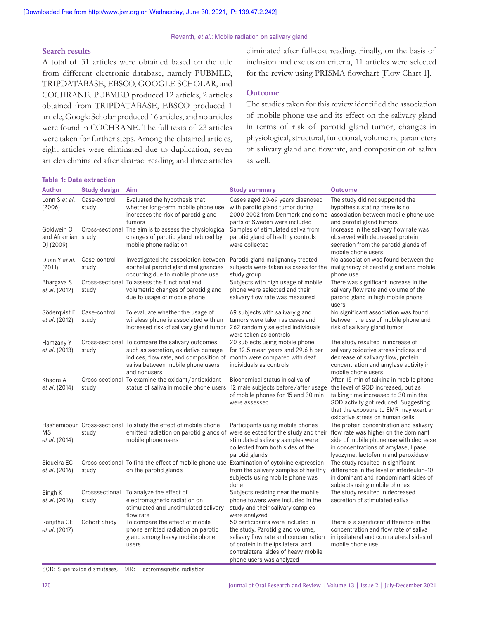#### **Search results**

A total of 31 articles were obtained based on the title from different electronic database, namely PUBMED, TRIPDATABASE, EBSCO, GOOGLE SCHOLAR, and COCHRANE. PUBMED produced 12 articles, 2 articles obtained from TRIPDATABASE, EBSCO produced 1 article, Google Scholar produced 16 articles, and no articles were found in COCHRANE. The full texts of 23 articles were taken for further steps. Among the obtained articles, eight articles were eliminated due to duplication, seven articles eliminated after abstract reading, and three articles eliminated after full-text reading. Finally, on the basis of inclusion and exclusion criteria, 11 articles were selected for the review using PRISMA flowchart [Flow Chart 1].

#### **Outcome**

The studies taken for this review identified the association of mobile phone use and its effect on the salivary gland in terms of risk of parotid gland tumor, changes in physiological, structural, functional, volumetric parameters of salivary gland and flowrate, and composition of saliva as well.

| <b>Table 1: Data extraction</b>               |                         |                                                                                                                                                                                                                      |                                                                                                                                                                                          |                                                                                                                                                                                                                                           |
|-----------------------------------------------|-------------------------|----------------------------------------------------------------------------------------------------------------------------------------------------------------------------------------------------------------------|------------------------------------------------------------------------------------------------------------------------------------------------------------------------------------------|-------------------------------------------------------------------------------------------------------------------------------------------------------------------------------------------------------------------------------------------|
| Author                                        | <b>Study design</b>     | Aim                                                                                                                                                                                                                  | <b>Study summary</b>                                                                                                                                                                     | <b>Outcome</b>                                                                                                                                                                                                                            |
| Lonn S et al.<br>(2006)                       | Case-control<br>study   | Evaluated the hypothesis that<br>whether long-term mobile phone use<br>increases the risk of parotid gland<br>tumors                                                                                                 | Cases aged 20-69 years diagnosed<br>with parotid gland tumor during<br>2000-2002 from Denmark and some<br>parts of Sweden were included                                                  | The study did not supported the<br>hypothesis stating there is no<br>association between mobile phone use<br>and parotid gland tumors                                                                                                     |
| Goldwein O<br>and Aframian study<br>DJ (2009) |                         | Cross-sectional The aim is to assess the physiological<br>changes of parotid gland induced by<br>mobile phone radiation                                                                                              | Samples of stimulated saliva from<br>parotid gland of healthy controls<br>were collected                                                                                                 | Increase in the salivary flow rate was<br>observed with decreased protein<br>secretion from the parotid glands of<br>mobile phone users                                                                                                   |
| Duan Y et al.<br>(2011)                       | Case-control<br>study   | Investigated the association between<br>epithelial parotid gland malignancies<br>occurring due to mobile phone use                                                                                                   | Parotid gland malignancy treated<br>subjects were taken as cases for the<br>study group                                                                                                  | No association was found between the<br>malignancy of parotid gland and mobile<br>phone use                                                                                                                                               |
| Bhargava S<br>et al. (2012)                   | study                   | Cross-sectional To assess the functional and<br>volumetric changes of parotid gland<br>due to usage of mobile phone                                                                                                  | Subjects with high usage of mobile<br>phone were selected and their<br>salivary flow rate was measured                                                                                   | There was significant increase in the<br>salivary flow rate and volume of the<br>parotid gland in high mobile phone<br>users                                                                                                              |
| Söderqvist F<br>et al. (2012)                 | Case-control<br>study   | To evaluate whether the usage of<br>wireless phone is associated with an<br>increased risk of salivary gland tumor 262 randomly selected individuals                                                                 | 69 subjects with salivary gland<br>tumors were taken as cases and<br>were taken as controls                                                                                              | No significant association was found<br>between the use of mobile phone and<br>risk of salivary gland tumor                                                                                                                               |
| Hamzany Y<br>et al. (2013)                    | study                   | Cross-sectional To compare the salivary outcomes<br>such as secretion, oxidative damage<br>indices, flow rate, and composition of month were compared with deaf<br>saliva between mobile phone users<br>and nonusers | 20 subjects using mobile phone<br>for 12.5 mean years and 29.6 h per<br>individuals as controls                                                                                          | The study resulted in increase of<br>salivary oxidative stress indices and<br>decrease of salivary flow, protein<br>concentration and amylase activity in<br>mobile phone users                                                           |
| Khadra A<br>et al. (2014)                     | study                   | Cross-sectional To examine the oxidant/antioxidant<br>status of saliva in mobile phone users                                                                                                                         | Biochemical status in saliva of<br>12 male subjects before/after usage<br>of mobile phones for 15 and 30 min<br>were assessed                                                            | After 15 min of talking in mobile phone<br>the level of SOD increased, but as<br>talking time increased to 30 min the<br>SOD activity got reduced. Suggesting<br>that the exposure to EMR may exert an<br>oxidative stress on human cells |
| ΜS<br><i>et al.</i> (2014)                    | study                   | Hashemipour Cross-sectional To study the effect of mobile phone<br>emitted radiation on parotid glands of<br>mobile phone users                                                                                      | Participants using mobile phones<br>were selected for the study and their<br>stimulated salivary samples were<br>collected from both sides of the<br>parotid glands                      | The protein concentration and salivary<br>flow rate was higher on the dominant<br>side of mobile phone use with decrease<br>in concentrations of amylase, lipase,<br>lysozyme, lactoferrin and peroxidase                                 |
| Siqueira EC<br>et al. (2016)                  | study                   | Cross-sectional To find the effect of mobile phone use Examination of cytokine expression<br>on the parotid glands                                                                                                   | from the salivary samples of healthy<br>subjects using mobile phone was<br>done                                                                                                          | The study resulted in significant<br>difference in the level of interleukin-10<br>in dominant and nondominant sides of<br>subjects using mobile phones                                                                                    |
| Singh K<br>et al. (2016)                      | Crosssectional<br>study | To analyze the effect of<br>electromagnetic radiation on<br>stimulated and unstimulated salivary<br>flow rate                                                                                                        | Subjects residing near the mobile<br>phone towers were included in the<br>study and their salivary samples<br>were analyzed                                                              | The study resulted in decreased<br>secretion of stimulated saliva                                                                                                                                                                         |
| Ranjitha GE<br>et al. (2017)                  | Cohort Study            | To compare the effect of mobile<br>phone emitted radiation on parotid<br>gland among heavy mobile phone<br>users                                                                                                     | 50 participants were included in<br>the study. Parotid gland volume,<br>salivary flow rate and concentration<br>of protein in the ipsilateral and<br>contralateral sides of heavy mobile | There is a significant difference in the<br>concentration and flow rate of saliva<br>in ipsilateral and contralateral sides of<br>mobile phone use                                                                                        |

phone users was analyzed

SOD: Superoxide dismutases, EMR: Electromagnetic radiation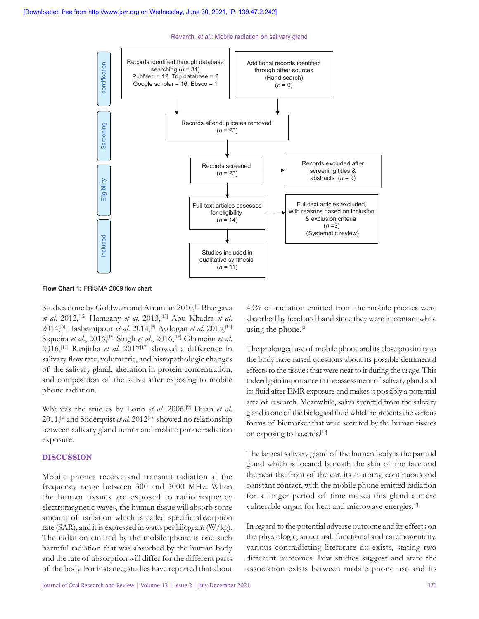

**Flow Chart 1:** PRISMA 2009 flow chart

Studies done by Goldwein and Aframian 2010,<sup>[1]</sup> Bhargava *et al*. 2012,[12] Hamzany *et al*. 2013,[13] Abu Khadra *et al*. 2014,[6] Hashemipour *et al*. 2014,[8] Aydogan *et al*. 2015,[14] Siqueira *et al*., 2016,[15] Singh *et al*., 2016,[16] Ghoneim *et al*. 2016,[11] Ranjitha *et al*. 2017[17] showed a difference in salivary flow rate, volumetric, and histopathologic changes of the salivary gland, alteration in protein concentration, and composition of the saliva after exposing to mobile phone radiation.

Whereas the studies by Lonn *et al*. 2006,[9] Duan *et al*. 2011,[2] and Söderqvist *et al*. 2012[18] showed no relationship between salivary gland tumor and mobile phone radiation exposure.

#### **DISCUSSION**

Mobile phones receive and transmit radiation at the frequency range between 300 and 3000 MHz. When the human tissues are exposed to radiofrequency electromagnetic waves, the human tissue will absorb some amount of radiation which is called specific absorption rate (SAR), and it is expressed in watts per kilogram (W/kg). The radiation emitted by the mobile phone is one such harmful radiation that was absorbed by the human body and the rate of absorption will differ for the different parts 40% of radiation emitted from the mobile phones were absorbed by head and hand since they were in contact while using the phone.[2]

The prolonged use of mobile phone and its close proximity to the body have raised questions about its possible detrimental effects to the tissues that were near to it during the usage. This indeed gain importance in the assessment of salivary gland and its fluid after EMR exposure and makes it possibly a potential area of research. Meanwhile, saliva secreted from the salivary gland is one of the biological fluid which represents the various forms of biomarker that were secreted by the human tissues on exposing to hazards.[19]

The largest salivary gland of the human body is the parotid gland which is located beneath the skin of the face and the near the front of the ear, its anatomy, continuous and constant contact, with the mobile phone emitted radiation for a longer period of time makes this gland a more vulnerable organ for heat and microwave energies.[2]

In regard to the potential adverse outcome and its effects on the physiologic, structural, functional and carcinogenicity, various contradicting literature do exists, stating two different outcomes. Few studies suggest and state the association exists between mobile phone use and its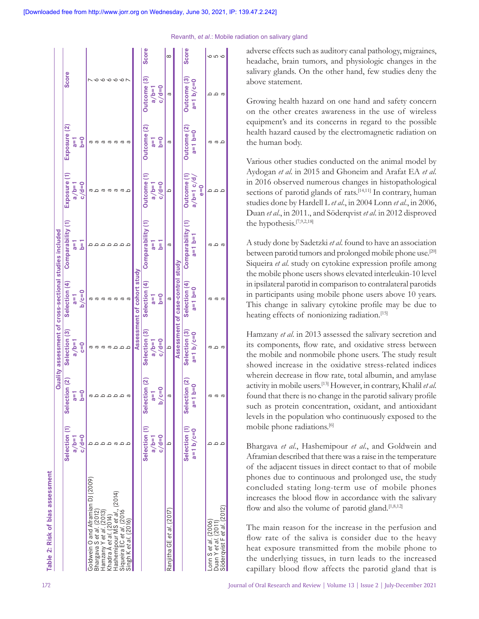| Selection (1) | Selection (2)      | Selection (3) | Selection (4) | Comparability (1) |                                                                                                                          | Exposure (2)                       | <b>Score</b>      |              |
|---------------|--------------------|---------------|---------------|-------------------|--------------------------------------------------------------------------------------------------------------------------|------------------------------------|-------------------|--------------|
| $a/b=1$       | $\overline{a}$     | $1 = d/a$     | $a=1$         | ī                 |                                                                                                                          | $a=1$                              |                   |              |
| $c/d=0$       | $b=0$              | $C = 0$       | $b/c=0$       | $\frac{1}{2}$     | $c/d=0$                                                                                                                  | $b=0$                              |                   |              |
|               |                    |               |               |                   | ω                                                                                                                        |                                    |                   |              |
|               |                    |               | ε             |                   |                                                                                                                          |                                    |                   |              |
|               |                    |               | ω             |                   | Б                                                                                                                        |                                    |                   |              |
|               | Q                  |               | Б             |                   | ь                                                                                                                        |                                    |                   |              |
|               |                    |               | ω             |                   | ε                                                                                                                        |                                    |                   |              |
|               |                    |               | ᡕᡆ            |                   | ᡕᢐ                                                                                                                       |                                    |                   |              |
|               | 6                  |               | Б             |                   |                                                                                                                          |                                    |                   |              |
|               |                    |               |               |                   |                                                                                                                          |                                    |                   |              |
| Selection (1) | Selection (2)      | Selection (3) | Selection (4) | Comparability (1) | Outcome (1)                                                                                                              | Outcome (2)                        |                   | <b>Score</b> |
| $1 = d/a$     | ī∍                 | $a/b=1$       | $a=1$         | $1 = 8$           |                                                                                                                          | $a=1$                              | $1 = d/a$         |              |
| $c/d=0$       | $\gamma$           | $c/d=0$       | $b=0$         | $\overline{a}$    | $c/d=0$                                                                                                                  | $b=0$                              | $o = b \text{ o}$ |              |
| $\circ$       | ო                  | $\circ$       | ā             | ā                 | $\circ$                                                                                                                  | ь                                  | ത                 | $\infty$     |
|               |                    |               |               |                   |                                                                                                                          |                                    |                   |              |
| Selection (1) | Selection (2)      | Selection (3) | Selection (4) | Comparability (1) | Outcome (1)                                                                                                              | Outcome (2)                        | Outcome (3)       | <b>Score</b> |
| $a=1 b/c=0$   | $0 = 0$<br>່∥<br>ຜ | $a=1 b/c=0$   | $a=1$ b=0     | $1 = d$ $1 = d$   | $a/b=1$ c/d/                                                                                                             | $a = 1$ b=0                        | $a=1 b/c=0$       |              |
|               |                    |               |               |                   | $e=0$                                                                                                                    |                                    |                   |              |
|               | Б                  |               |               |                   |                                                                                                                          |                                    |                   |              |
|               | Б                  |               | ω             |                   |                                                                                                                          |                                    |                   | o w o        |
|               | ß                  |               | Œ             |                   |                                                                                                                          |                                    |                   |              |
|               |                    | α Ω           |               |                   | Quality assessment of cross-sectional studies included<br>Assessment of case-control study<br>Assessment of cohort study | Exposure (1)<br>$a/b=1$<br>$a/b=1$ |                   | Outcome (3)  |

adverse effects such as auditory canal pathology, migraines, headache, brain tumors, and physiologic changes in the salivary glands. On the other hand, few studies deny the above statement.

Growing health hazard on one hand and safety concern on the other creates awareness in the use of wireless equipment's and its concerns in regard to the possible health hazard caused by the electromagnetic radiation on the human body.

Various other studies conducted on the animal model by Aydogan *et al*. in 2015 and Ghoneim and Arafat EA *et al*. in 2016 observed numerous changes in histopathological sections of parotid glands of rats.<sup>[14,11]</sup> In contrary, human studies done by Hardell L *et al*., in 2004 Lonn *et al*., in 2006, Duan *et al*., in 2011., and Söderqvist *et al*. in 2012 disproved the hypothesis.[7,9,2,18]

A study done by Sadetzki *et al*. found to have an association between parotid tumors and prolonged mobile phone use.<sup>[20]</sup> Siqueira *et al*. study on cytokine expression profile among the mobile phone users shows elevated interleukin-10 level in ipsilateral parotid in comparison to contralateral parotids in participants using mobile phone users above 10 years. This change in salivary cytokine profile may be due to heating effects of nonionizing radiation.<sup>[15]</sup>

Hamzany *et al*. in 2013 assessed the salivary secretion and its components, flow rate, and oxidative stress between the mobile and nonmobile phone users. The study result showed increase in the oxidative stress-related indices wherein decrease in flow rate, total albumin, and amylase activity in mobile users.[13] However, in contrary, Khalil *et al*. found that there is no change in the parotid salivary profile such as protein concentration, oxidant, and antioxidant levels in the population who continuously exposed to the mobile phone radiations.[6]

Bhargava *et al*., Hashemipour *et al*., and Goldwein and Aframian described that there was a raise in the temperature of the adjacent tissues in direct contact to that of mobile phones due to continuous and prolonged use, the study concluded stating long‑term use of mobile phones increases the blood flow in accordance with the salivary flow and also the volume of parotid gland. $[1,8,12]$ 

The main reason for the increase in the perfusion and flow rate of the saliva is consider due to the heavy heat exposure transmitted from the mobile phone to the underlying tissues, in turn leads to the increased capillary blood flow affects the parotid gland that is

**Table 2: Risk of bias assessment** 

**2: Risk of bias assessment**